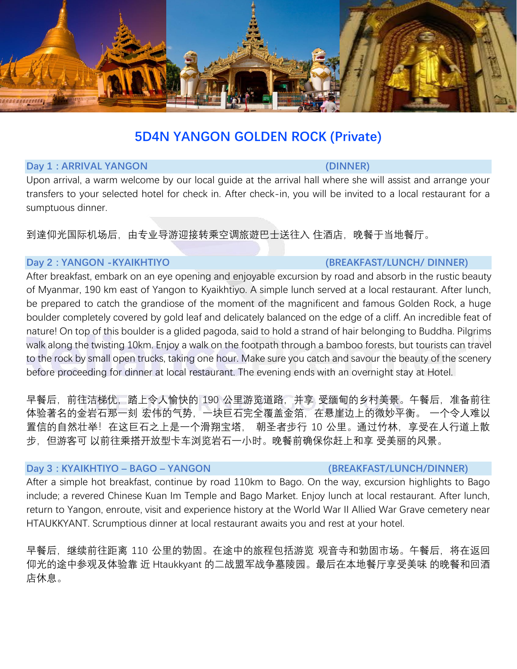

# **5D4N YANGON GOLDEN ROCK (Private)**

### **Day 1 : ARRIVAL YANGON (DINNER)**

Upon arrival, a warm welcome by our local guide at the arrival hall where she will assist and arrange your transfers to your selected hotel for check in. After check-in, you will be invited to a local restaurant for a sumptuous dinner.

到達仰光国际机场后,由专业导游迎接转乘空调旅遊巴士送往入 住酒店,晚餐于当地餐厅。

### **Day 2 : YANGON -KYAIKHTIYO (BREAKFAST/LUNCH/ DINNER)**

# After breakfast, embark on an eye opening and enjoyable excursion by road and absorb in the rustic beauty of Myanmar, 190 km east of Yangon to Kyaikhtiyo. A simple lunch served at a local restaurant. After lunch, be prepared to catch the grandiose of the moment of the magnificent and famous Golden Rock, a huge boulder completely covered by gold leaf and delicately balanced on the edge of a cliff. An incredible feat of nature! On top of this boulder is a glided pagoda, said to hold a strand of hair belonging to Buddha. Pilgrims walk along the twisting 10km. Enjoy a walk on the footpath through a bamboo forests, but tourists can travel to the rock by small open trucks, taking one hour. Make sure you catch and savour the beauty of the scenery before proceeding for dinner at local restaurant. The evening ends with an overnight stay at Hotel.

早餐后,前往洁梯优,踏上令人愉快的 190 公里游览道路,并享 受缅甸的乡村美景。午餐后,准备前往 体验著名的金岩石那一刻 宏伟的气势,一块巨石完全覆盖金箔,在悬崖边上的微妙平衡。 一个令人难以 置信的自然壮举!在这巨石之上是一个滑翔宝塔, 朝圣者步行 10 公里。通过竹林,享受在人行道上散 步,但游客可 以前往乘搭开放型卡车浏览岩石一小时。晚餐前确保你赶上和享 受美丽的风景。

### **Day 3 : KYAIKHTIYO – BAGO – YANGON (BREAKFAST/LUNCH/DINNER)**

## After a simple hot breakfast, continue by road 110km to Bago. On the way, excursion highlights to Bago include; a revered Chinese Kuan Im Temple and Bago Market. Enjoy lunch at local restaurant. After lunch, return to Yangon, enroute, visit and experience history at the World War II Allied War Grave cemetery near HTAUKKYANT. Scrumptious dinner at local restaurant awaits you and rest at your hotel.

早餐后,继续前往距离 110 公里的勃固。在途中的旅程包括游览 观音寺和勃固市场。午餐后,将在返回 仰光的途中参观及体验靠 近 Htaukkyant 的二战盟军战争墓陵园。最后在本地餐厅享受美味 的晚餐和回酒 店休息。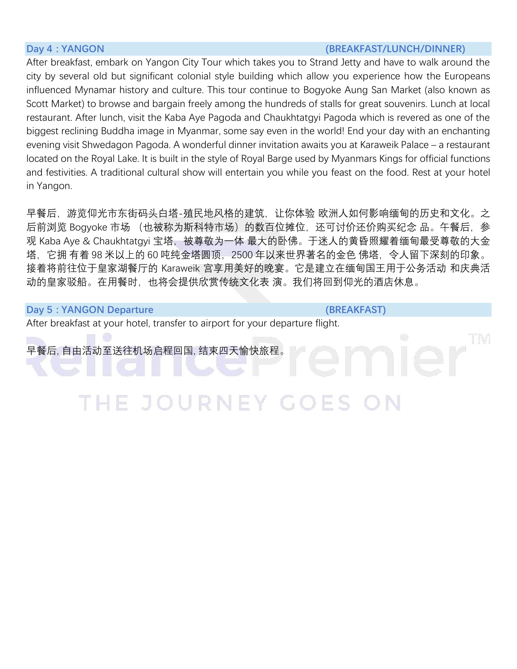### **Day 4 : YANGON (BREAKFAST/LUNCH/DINNER)**

After breakfast, embark on Yangon City Tour which takes you to Strand Jetty and have to walk around the city by several old but significant colonial style building which allow you experience how the Europeans influenced Mynamar history and culture. This tour continue to Bogyoke Aung San Market (also known as Scott Market) to browse and bargain freely among the hundreds of stalls for great souvenirs. Lunch at local restaurant. After lunch, visit the Kaba Aye Pagoda and Chaukhtatgyi Pagoda which is revered as one of the biggest reclining Buddha image in Myanmar, some say even in the world! End your day with an enchanting evening visit Shwedagon Pagoda. A wonderful dinner invitation awaits you at Karaweik Palace – a restaurant located on the Royal Lake. It is built in the style of Royal Barge used by Myanmars Kings for official functions and festivities. A traditional cultural show will entertain you while you feast on the food. Rest at your hotel in Yangon.

早餐后,游览仰光市东街码头白塔-殖民地风格的建筑,让你体验 欧洲人如何影响缅甸的历史和文化。之 后前浏览 Bogyoke 市场 (也被称为斯科特市场)的数百位摊位,还可讨价还价购买纪念 品。午餐后,参 观 Kaba Aye & Chaukhtatgyi 宝塔,被尊敬为一体 最大的卧佛。于迷人的黄昏照耀着缅甸最受尊敬的大金 塔,它拥 有着 98 米以上的 60 吨纯金塔圆顶,2500 年以来世界著名的金色 佛塔,令人留下深刻的印象。 接着将前往位于皇家湖餐厅的 Karaweik 宫享用美好的晚宴。它是建立在缅甸国王用于公务活动 和庆典活 动的皇家驳船。在用餐时,也将会提供欣赏传统文化表 演。我们将回到仰光的酒店休息。

### **Day 5 : YANGON Departure (BREAKFAST) (BREAKFAST)**

After breakfast at your hotel, transfer to airport for your departure flight.

早餐后, 自由活动至送往机场启程回国, 结束四天愉快旅程。

JOURNEY GOES THE